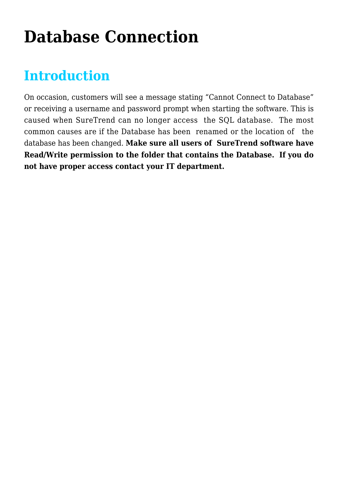## **[Database Connection](https://help.hygiena.com/kb-doc/database-connection/)**

### **Introduction**

On occasion, customers will see a message stating "Cannot Connect to Database" or receiving a username and password prompt when starting the software. This is caused when SureTrend can no longer access the SQL database. The most common causes are if the Database has been renamed or the location of the database has been changed. **Make sure all users of SureTrend software have Read/Write permission to the folder that contains the Database. If you do not have proper access contact your IT department.**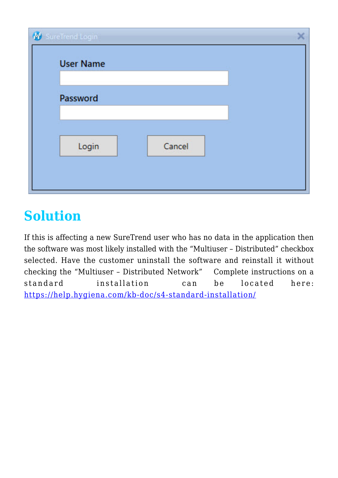| SureTrend Login  |        |
|------------------|--------|
| <b>User Name</b> |        |
|                  |        |
| Password         |        |
|                  |        |
| Login            | Cancel |
|                  |        |
|                  |        |

## **Solution**

If this is affecting a new SureTrend user who has no data in the application then the software was most likely installed with the "Multiuser – Distributed" checkbox selected. Have the customer uninstall the software and reinstall it without checking the "Multiuser – Distributed Network" Complete instructions on a standard installation can be located here: <https://help.hygiena.com/kb-doc/s4-standard-installation/>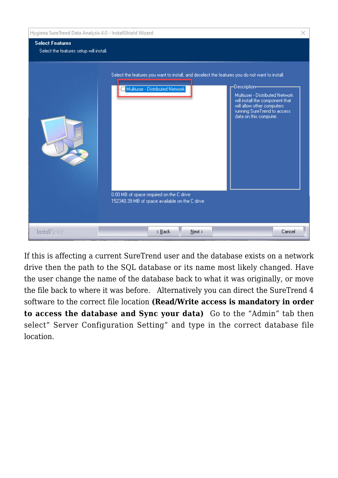| Hygiena SureTrend Data Analysis 4.0 - InstallShield Wizard        |                                                                                                                                                                                                                                                                                                                                                                                                                  | × |
|-------------------------------------------------------------------|------------------------------------------------------------------------------------------------------------------------------------------------------------------------------------------------------------------------------------------------------------------------------------------------------------------------------------------------------------------------------------------------------------------|---|
| <b>Select Features</b><br>Select the features setup will install. |                                                                                                                                                                                                                                                                                                                                                                                                                  |   |
|                                                                   | Select the features you want to install, and deselect the features you do not want to install.<br>-Description-<br>Multiuser - Distributed Network<br>Multiuser - Distributed Network.<br>will install the component that<br>will allow other computers.<br>running SureTrend to access<br>data on this computer.<br>0.00 MB of space required on the C drive.<br>152340.39 MB of space available on the C drive |   |
| <b>InstallShield</b>                                              | $\leq$ Back<br>Next<br>Cancel                                                                                                                                                                                                                                                                                                                                                                                    |   |

If this is affecting a current SureTrend user and the database exists on a network drive then the path to the SQL database or its name most likely changed. Have the user change the name of the database back to what it was originally, or move the file back to where it was before. Alternatively you can direct the SureTrend 4 software to the correct file location **(Read/Write access is mandatory in order to access the database and Sync your data)** Go to the "Admin" tab then select" Server Configuration Setting" and type in the correct database file location.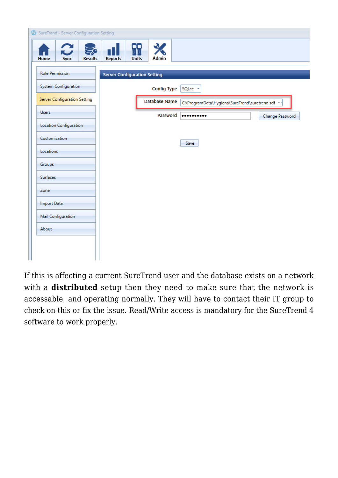

If this is affecting a current SureTrend user and the database exists on a network with a **distributed** setup then they need to make sure that the network is accessable and operating normally. They will have to contact their IT group to check on this or fix the issue. Read/Write access is mandatory for the SureTrend 4 software to work properly.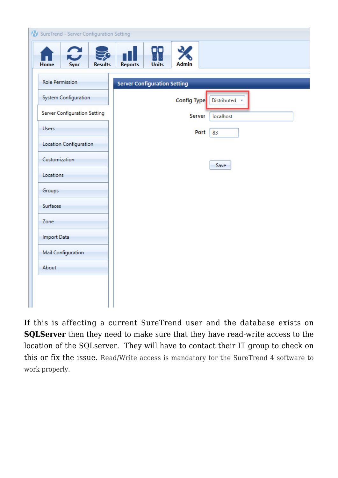| Home<br><b>Sync</b><br><b>Results</b> | <b>Units</b><br><b>Admin</b><br><b>Reports</b> |
|---------------------------------------|------------------------------------------------|
| <b>Role Permission</b>                | <b>Server Configuration Setting</b>            |
| System Configuration                  | Config Type<br>Distributed                     |
| Server Configuration Setting          | Server<br>localhost                            |
| <b>Users</b>                          | Port<br>83                                     |
| Location Configuration                |                                                |
| Customization                         | Save                                           |
| Locations                             |                                                |
| Groups                                |                                                |
| Surfaces                              |                                                |
| Zone                                  |                                                |
| <b>Import Data</b>                    |                                                |
| <b>Mail Configuration</b>             |                                                |
| About                                 |                                                |
|                                       |                                                |

If this is affecting a current SureTrend user and the database exists on **SQLServer** then they need to make sure that they have read-write access to the location of the SQLserver. They will have to contact their IT group to check on this or fix the issue. Read/Write access is mandatory for the SureTrend 4 software to work properly.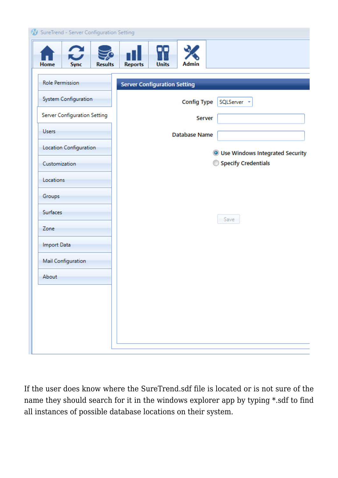| Home<br>Sync<br><b>Results</b> | <b>Admin</b><br><b>Reports</b><br><b>Units</b> |
|--------------------------------|------------------------------------------------|
| <b>Role Permission</b>         | <b>Server Configuration Setting</b>            |
| <b>System Configuration</b>    | <b>Config Type</b><br>SQLServer -              |
| Server Configuration Setting   | Server                                         |
| <b>Users</b>                   | <b>Database Name</b>                           |
| Location Configuration         | <b>O</b> Use Windows Integrated Security       |
| Customization                  | Specify Credentials                            |
| Locations                      |                                                |
| Groups                         |                                                |
| <b>Surfaces</b>                | Save                                           |
| Zone                           |                                                |
| <b>Import Data</b>             |                                                |
| <b>Mail Configuration</b>      |                                                |
| About                          |                                                |
|                                |                                                |
|                                |                                                |
|                                |                                                |

If the user does know where the SureTrend.sdf file is located or is not sure of the name they should search for it in the windows explorer app by typing \*.sdf to find all instances of possible database locations on their system.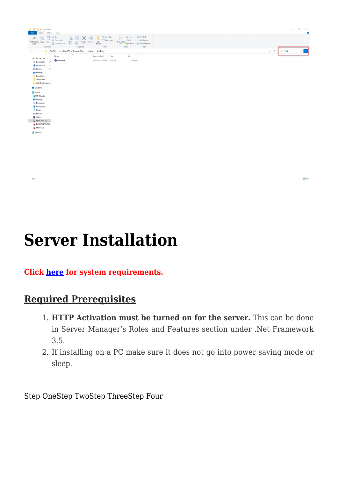

# **[Server Installation](https://help.hygiena.com/kb-doc/s4-server-installation/)**

#### **Click [here](https://help.hygiena.com/knowledgebase/s4-system-requirements/) for system requirements.**

#### **Required Prerequisites**

- 1. **HTTP Activation must be turned on for the server.** This can be done in Server Manager's Roles and Features section under .Net Framework 3.5.
- 2. If installing on a PC make sure it does not go into power saving mode or sleep.

Step OneStep TwoStep ThreeStep Four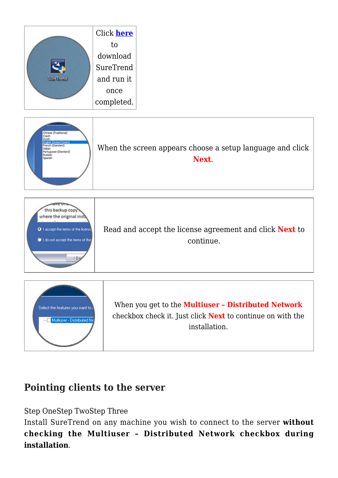

### **Pointing clients to the server**

Step OneStep TwoStep Three

Install SureTrend on any machine you wish to connect to the server **without checking the Multiuser – Distributed Network checkbox during installation**.